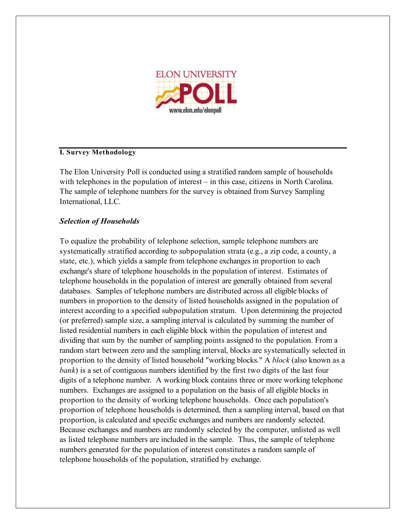

## **I. Survey Methodology**

The Elon University Poll is conducted using a stratified random sample of households with telephones in the population of interest – in this case, citizens in North Carolina. The sample of telephone numbers for the survey is obtained from Survey Sampling International, LLC.

# *Selection of Households*

To equalize the probability of telephone selection, sample telephone numbers are systematically stratified according to subpopulation strata (e.g., a zip code, a county, a state, etc.), which yields a sample from telephone exchanges in proportion to each exchange's share of telephone households in the population of interest. Estimates of telephone households in the population of interest are generally obtained from several databases. Samples of telephone numbers are distributed across all eligible blocks of numbers in proportion to the density of listed households assigned in the population of interest according to a specified subpopulation stratum. Upon determining the projected (or preferred) sample size, a sampling interval is calculated by summing the number of listed residential numbers in each eligible block within the population of interest and dividing that sum by the number of sampling points assigned to the population. From a random start between zero and the sampling interval, blocks are systematically selected in proportion to the density of listed household "working blocks." A *block* (also known as a *bank*) is a set of contiguous numbers identified by the first two digits of the last four digits of a telephone number. A working block contains three or more working telephone numbers. Exchanges are assigned to a population on the basis of all eligible blocks in proportion to the density of working telephone households. Once each population's proportion of telephone households is determined, then a sampling interval, based on that proportion, is calculated and specific exchanges and numbers are randomly selected. Because exchanges and numbers are randomly selected by the computer, unlisted as well as listed telephone numbers are included in the sample. Thus, the sample of telephone numbers generated for the population of interest constitutes a random sample of telephone households of the population, stratified by exchange.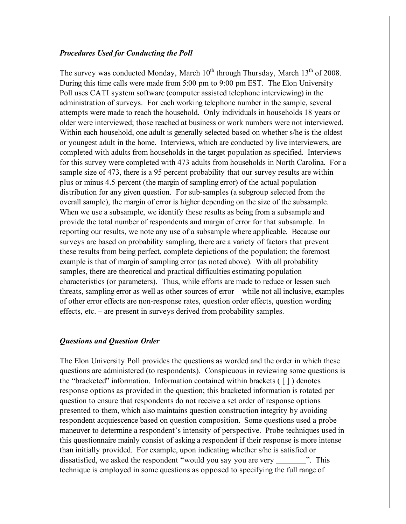### *Procedures Used for Conducting the Poll*

The survey was conducted Monday, March  $10^{th}$  through Thursday, March  $13^{th}$  of 2008. During this time calls were made from 5:00 pm to 9:00 pm EST. The Elon University Poll uses CATI system software (computer assisted telephone interviewing) in the administration of surveys. For each working telephone number in the sample, several attempts were made to reach the household. Only individuals in households 18 years or older were interviewed; those reached at business or work numbers were not interviewed. Within each household, one adult is generally selected based on whether s/he is the oldest or youngest adult in the home. Interviews, which are conducted by live interviewers, are completed with adults from households in the target population as specified. Interviews for this survey were completed with 473 adults from households in North Carolina. For a sample size of 473, there is a 95 percent probability that our survey results are within plus or minus 4.5 percent (the margin of sampling error) of the actual population distribution for any given question. For sub-samples (a subgroup selected from the overall sample), the margin of error is higher depending on the size of the subsample. When we use a subsample, we identify these results as being from a subsample and provide the total number of respondents and margin of error for that subsample. In reporting our results, we note any use of a subsample where applicable. Because our surveys are based on probability sampling, there are a variety of factors that prevent these results from being perfect, complete depictions of the population; the foremost example is that of margin of sampling error (as noted above). With all probability samples, there are theoretical and practical difficulties estimating population characteristics (or parameters). Thus, while efforts are made to reduce or lessen such threats, sampling error as well as other sources of error – while not all inclusive, examples of other error effects are non-response rates, question order effects, question wording effects, etc. – are present in surveys derived from probability samples.

#### *Questions and Question Order*

The Elon University Poll provides the questions as worded and the order in which these questions are administered (to respondents). Conspicuous in reviewing some questions is the "bracketed" information. Information contained within brackets ( [ ] ) denotes response options as provided in the question; this bracketed information is rotated per question to ensure that respondents do not receive a set order of response options presented to them, which also maintains question construction integrity by avoiding respondent acquiescence based on question composition. Some questions used a probe maneuver to determine a respondent's intensity of perspective. Probe techniques used in this questionnaire mainly consist of asking a respondent if their response is more intense than initially provided. For example, upon indicating whether s/he is satisfied or dissatisfied, we asked the respondent "would you say you are very ". This technique is employed in some questions as opposed to specifying the full range of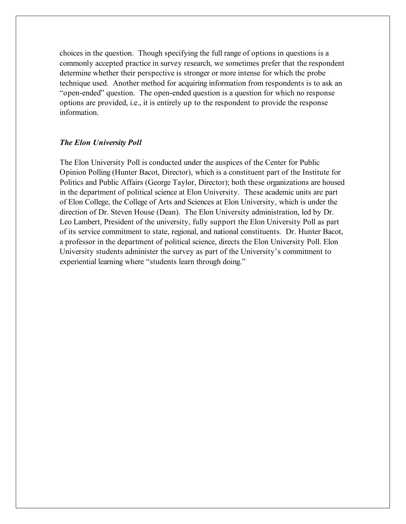choices in the question. Though specifying the full range of options in questions is a commonly accepted practice in survey research, we sometimes prefer that the respondent determine whether their perspective is stronger or more intense for which the probe technique used. Another method for acquiring information from respondents is to ask an "open-ended" question. The open-ended question is a question for which no response options are provided, i.e., it is entirely up to the respondent to provide the response information.

#### *The Elon University Poll*

The Elon University Poll is conducted under the auspices of the Center for Public Opinion Polling (Hunter Bacot, Director), which is a constituent part of the Institute for Politics and Public Affairs (George Taylor, Director); both these organizations are housed in the department of political science at Elon University. These academic units are part of Elon College, the College of Arts and Sciences at Elon University, which is under the direction of Dr. Steven House (Dean). The Elon University administration, led by Dr. Leo Lambert, President of the university, fully support the Elon University Poll as part of its service commitment to state, regional, and national constituents. Dr. Hunter Bacot, a professor in the department of political science, directs the Elon University Poll. Elon University students administer the survey as part of the University's commitment to experiential learning where "students learn through doing."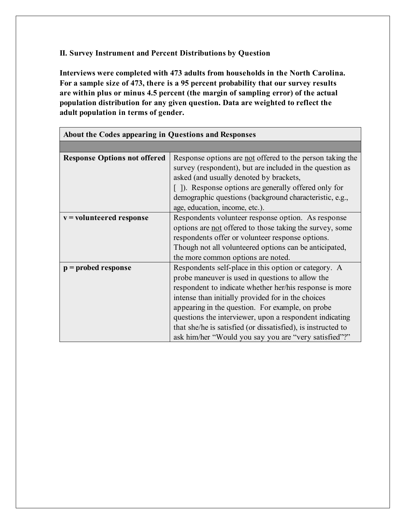# **II. Survey Instrument and Percent Distributions by Question**

**Interviews were completed with 473 adults from households in the North Carolina. For a sample size of 473, there is a 95 percent probability that our survey results are within plus or minus 4.5 percent (the margin of sampling error) of the actual population distribution for any given question. Data are weighted to reflect the adult population in terms of gender.**

| About the Codes appearing in Questions and Responses |                                                                                                                                                                                                                                                                                                                                                                                                                                                                   |  |  |
|------------------------------------------------------|-------------------------------------------------------------------------------------------------------------------------------------------------------------------------------------------------------------------------------------------------------------------------------------------------------------------------------------------------------------------------------------------------------------------------------------------------------------------|--|--|
|                                                      |                                                                                                                                                                                                                                                                                                                                                                                                                                                                   |  |  |
| <b>Response Options not offered</b>                  | Response options are not offered to the person taking the<br>survey (respondent), but are included in the question as<br>asked (and usually denoted by brackets,                                                                                                                                                                                                                                                                                                  |  |  |
|                                                      | []). Response options are generally offered only for<br>demographic questions (background characteristic, e.g.,<br>age, education, income, etc.).                                                                                                                                                                                                                                                                                                                 |  |  |
| $v =$ volunteered response                           | Respondents volunteer response option. As response<br>options are <u>not</u> offered to those taking the survey, some<br>respondents offer or volunteer response options.<br>Though not all volunteered options can be anticipated,<br>the more common options are noted.                                                                                                                                                                                         |  |  |
| $p =$ probed response                                | Respondents self-place in this option or category. A<br>probe maneuver is used in questions to allow the<br>respondent to indicate whether her/his response is more<br>intense than initially provided for in the choices<br>appearing in the question. For example, on probe<br>questions the interviewer, upon a respondent indicating<br>that she/he is satisfied (or dissatisfied), is instructed to<br>ask him/her "Would you say you are "very satisfied"?" |  |  |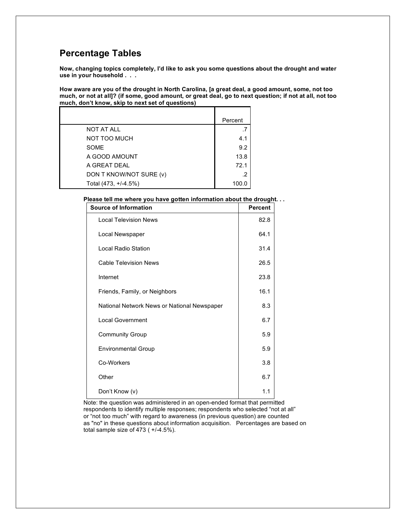# **Percentage Tables**

**Now, changing topics completely, I'd like to ask you some questions about the drought and water use in your household . . .**

How aware are you of the drought in North Carolina, [a great deal, a good amount, some, not too much, or not at all]? (if some, good amount, or great deal, go to next question; if not at all, not too **much, don't know, skip to next set of questions)**

|                         | Percent |
|-------------------------|---------|
| NOT AT ALL              | .7      |
| <b>NOT TOO MUCH</b>     | 4.1     |
| <b>SOME</b>             | 9.2     |
| A GOOD AMOUNT           | 13.8    |
| A GREAT DEAL            | 72.1    |
| DON T KNOW/NOT SURE (v) | .2      |
| Total (473, +/-4.5%)    | 100.0   |

**Please tell me where you have gotten information about the drought. . .**

| <b>Source of Information</b>                | <b>Percent</b> |
|---------------------------------------------|----------------|
| <b>Local Television News</b>                | 82.8           |
| Local Newspaper                             | 64.1           |
| Local Radio Station                         | 31.4           |
| <b>Cable Television News</b>                | 26.5           |
| Internet                                    | 23.8           |
| Friends, Family, or Neighbors               | 16.1           |
| National Network News or National Newspaper | 8.3            |
| <b>Local Government</b>                     | 6.7            |
| <b>Community Group</b>                      | 5.9            |
| <b>Environmental Group</b>                  | 5.9            |
| Co-Workers                                  | 3.8            |
| Other                                       | 6.7            |
| Don't Know (v)                              | 1.1            |

Note: the question was administered in an open-ended format that permitted respondents to identify multiple responses; respondents who selected "not at all" or "not too much" with regard to awareness (in previous question) are counted as "no" in these questions about information acquisition. Percentages are based on total sample size of 473 ( $+/-4.5%$ ).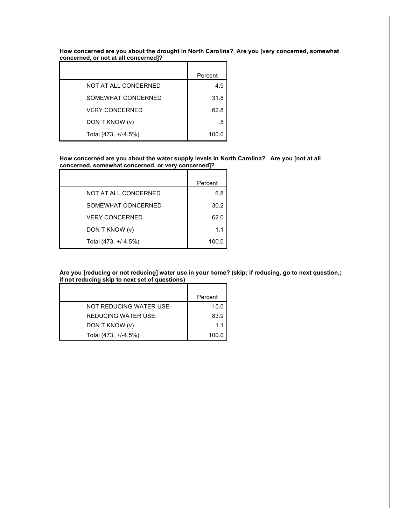**How concerned are you about the drought in North Carolina? Are you [very concerned, somewhat concerned, or not at all concerned]?**

|                       | Percent |
|-----------------------|---------|
| NOT AT ALL CONCERNED  | 4.9     |
| SOMEWHAT CONCERNED    | 31.8    |
| <b>VERY CONCERNED</b> | 62.8    |
| DON T KNOW (v)        | .5      |
| Total (473, +/-4.5%)  | 100.0   |

#### **How concerned are you about the water supply levels in North Carolina? Are you [not at all concerned, somewhat concerned, or very concerned]?** L,

|                       | Percent |
|-----------------------|---------|
| NOT AT ALL CONCERNED  | 6.8     |
| SOMEWHAT CONCERNED    | 30.2    |
| <b>VERY CONCERNED</b> | 62.0    |
| DON T KNOW (v)        | 1.1     |
| Total (473, +/-4.5%)  | 100.0   |

Are you [reducing or not reducing] water use in your home? (skip; if reducing, go to next question,; **if not reducing skip to next set of questions)**

|                        | Percent |
|------------------------|---------|
| NOT REDUCING WATER USE | 15.0    |
| REDUCING WATER USE     | 83.9    |
| DON T KNOW (v)         | 11      |
| Total (473, +/-4.5%)   | 100.0   |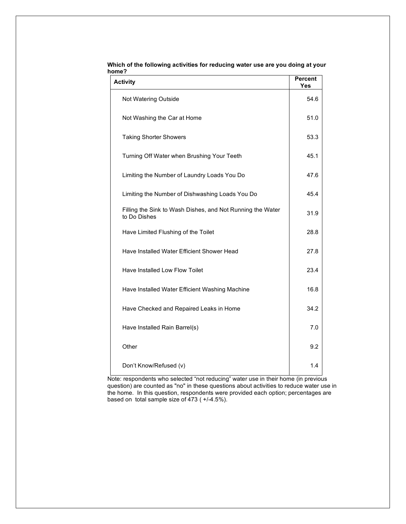| <b>Activity</b>                                                            | <b>Percent</b><br>Yes |
|----------------------------------------------------------------------------|-----------------------|
| Not Watering Outside                                                       | 54.6                  |
| Not Washing the Car at Home                                                | 51.0                  |
| <b>Taking Shorter Showers</b>                                              | 53.3                  |
| Turning Off Water when Brushing Your Teeth                                 | 45.1                  |
| Limiting the Number of Laundry Loads You Do                                | 47.6                  |
| Limiting the Number of Dishwashing Loads You Do                            | 45.4                  |
| Filling the Sink to Wash Dishes, and Not Running the Water<br>to Do Dishes | 31.9                  |
| Have Limited Flushing of the Toilet                                        | 28.8                  |
| Have Installed Water Efficient Shower Head                                 | 27.8                  |
| Have Installed Low Flow Toilet                                             | 23.4                  |
| Have Installed Water Efficient Washing Machine                             | 16.8                  |
| Have Checked and Repaired Leaks in Home                                    | 34.2                  |
| Have Installed Rain Barrel(s)                                              | 7.0                   |
| Other                                                                      | 9.2                   |
| Don't Know/Refused (v)                                                     | 1.4                   |

**Which of the following activities for reducing water use are you doing at your home?**

Note: respondents who selected "not reducing" water use in their home (in previous question) are counted as "no" in these questions about activities to reduce water use in the home. In this question, respondents were provided each option; percentages are based on total sample size of 473 ( +/-4.5%).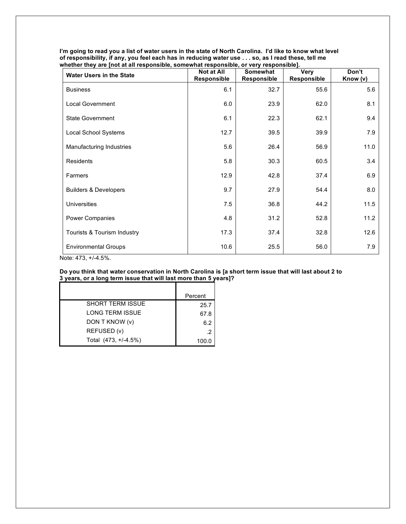| <b>Water Users in the State</b>  | <b>Not at All</b><br>Responsible | Somewhat<br>Responsible | <b>Very</b><br>Responsible | Don't<br>Know (v) |
|----------------------------------|----------------------------------|-------------------------|----------------------------|-------------------|
| <b>Business</b>                  | 6.1                              | 32.7                    | 55.6                       | 5.6               |
| <b>Local Government</b>          | 6.0                              | 23.9                    | 62.0                       | 8.1               |
| <b>State Government</b>          | 6.1                              | 22.3                    | 62.1                       | 9.4               |
| Local School Systems             | 12.7                             | 39.5                    | 39.9                       | 7.9               |
| Manufacturing Industries         | 5.6                              | 26.4                    | 56.9                       | 11.0              |
| Residents                        | 5.8                              | 30.3                    | 60.5                       | 3.4               |
| Farmers                          | 12.9                             | 42.8                    | 37.4                       | 6.9               |
| <b>Builders &amp; Developers</b> | 9.7                              | 27.9                    | 54.4                       | 8.0               |
| <b>Universities</b>              | 7.5                              | 36.8                    | 44.2                       | 11.5              |
| Power Companies                  | 4.8                              | 31.2                    | 52.8                       | 11.2              |
| Tourists & Tourism Industry      | 17.3                             | 37.4                    | 32.8                       | 12.6              |
| <b>Environmental Groups</b>      | 10.6                             | 25.5                    | 56.0                       | 7.9               |

I'm going to read you a list of water users in the state of North Carolina. I'd like to know what level of responsibility, if any, you feel each has in reducing water use . . . so, as I read these, tell me **whether they are [not at all responsible, somewhat responsible, or very responsible].**

Note: 473, +/-4.5%.

#### Do you think that water conservation in North Carolina is [a short term issue that will last about 2 to **3 years, or a long term issue that will last more than 5 years]?**

|                         | Percent |
|-------------------------|---------|
| <b>SHORT TERM ISSUE</b> | 25.7    |
| <b>LONG TERM ISSUE</b>  | 67.8    |
| DON T KNOW (v)          | 6.2     |
| REFUSED (v)             | .2      |
| Total (473, +/-4.5%)    | 100.0   |